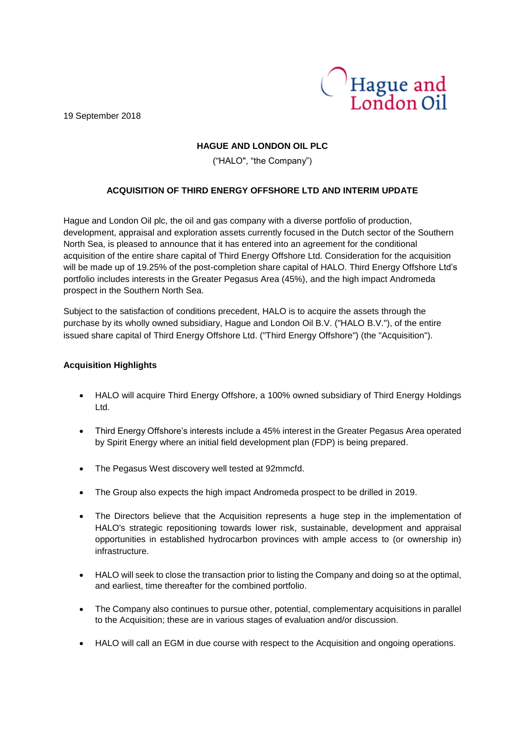19 September 2018



# **HAGUE AND LONDON OIL PLC**

("HALO", "the Company")

# **ACQUISITION OF THIRD ENERGY OFFSHORE LTD AND INTERIM UPDATE**

Hague and London Oil plc, the oil and gas company with a diverse portfolio of production, development, appraisal and exploration assets currently focused in the Dutch sector of the Southern North Sea, is pleased to announce that it has entered into an agreement for the conditional acquisition of the entire share capital of Third Energy Offshore Ltd. Consideration for the acquisition will be made up of 19.25% of the post-completion share capital of HALO. Third Energy Offshore Ltd's portfolio includes interests in the Greater Pegasus Area (45%), and the high impact Andromeda prospect in the Southern North Sea.

Subject to the satisfaction of conditions precedent, HALO is to acquire the assets through the purchase by its wholly owned subsidiary, Hague and London Oil B.V. ("HALO B.V."), of the entire issued share capital of Third Energy Offshore Ltd. ("Third Energy Offshore") (the "Acquisition").

# **Acquisition Highlights**

- HALO will acquire Third Energy Offshore, a 100% owned subsidiary of Third Energy Holdings Ltd.
- Third Energy Offshore's interests include a 45% interest in the Greater Pegasus Area operated by Spirit Energy where an initial field development plan (FDP) is being prepared.
- The Pegasus West discovery well tested at 92mmcfd.
- The Group also expects the high impact Andromeda prospect to be drilled in 2019.
- The Directors believe that the Acquisition represents a huge step in the implementation of HALO's strategic repositioning towards lower risk, sustainable, development and appraisal opportunities in established hydrocarbon provinces with ample access to (or ownership in) infrastructure.
- HALO will seek to close the transaction prior to listing the Company and doing so at the optimal, and earliest, time thereafter for the combined portfolio.
- The Company also continues to pursue other, potential, complementary acquisitions in parallel to the Acquisition; these are in various stages of evaluation and/or discussion.
- HALO will call an EGM in due course with respect to the Acquisition and ongoing operations.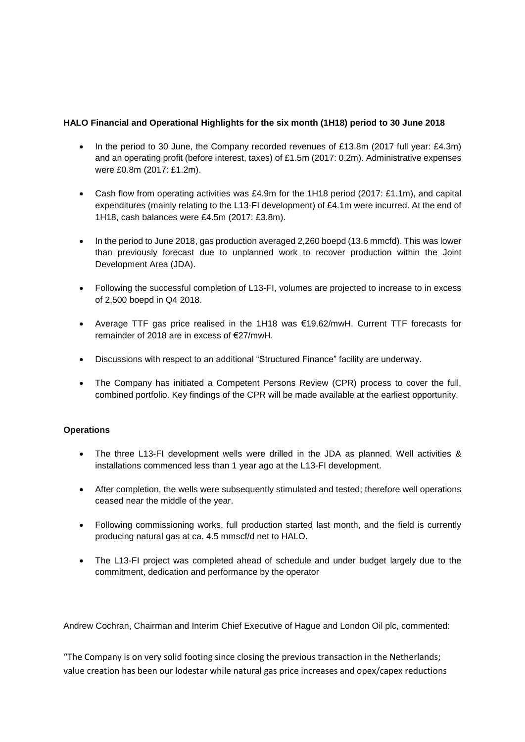# **HALO Financial and Operational Highlights for the six month (1H18) period to 30 June 2018**

- In the period to 30 June, the Company recorded revenues of £13.8m (2017 full year: £4.3m) and an operating profit (before interest, taxes) of £1.5m (2017: 0.2m). Administrative expenses were £0.8m (2017: £1.2m).
- Cash flow from operating activities was £4.9m for the 1H18 period (2017: £1.1m), and capital expenditures (mainly relating to the L13-FI development) of £4.1m were incurred. At the end of 1H18, cash balances were £4.5m (2017: £3.8m).
- In the period to June 2018, gas production averaged 2,260 boepd (13.6 mmcfd). This was lower than previously forecast due to unplanned work to recover production within the Joint Development Area (JDA).
- Following the successful completion of L13-FI, volumes are projected to increase to in excess of 2,500 boepd in Q4 2018.
- Average TTF gas price realised in the 1H18 was €19.62/mwH. Current TTF forecasts for remainder of 2018 are in excess of €27/mwH.
- Discussions with respect to an additional "Structured Finance" facility are underway.
- The Company has initiated a Competent Persons Review (CPR) process to cover the full, combined portfolio. Key findings of the CPR will be made available at the earliest opportunity.

### **Operations**

- The three L13-FI development wells were drilled in the JDA as planned. Well activities & installations commenced less than 1 year ago at the L13-FI development.
- After completion, the wells were subsequently stimulated and tested; therefore well operations ceased near the middle of the year.
- Following commissioning works, full production started last month, and the field is currently producing natural gas at ca. 4.5 mmscf/d net to HALO.
- The L13-FI project was completed ahead of schedule and under budget largely due to the commitment, dedication and performance by the operator

Andrew Cochran, Chairman and Interim Chief Executive of Hague and London Oil plc, commented:

"The Company is on very solid footing since closing the previous transaction in the Netherlands; value creation has been our lodestar while natural gas price increases and opex/capex reductions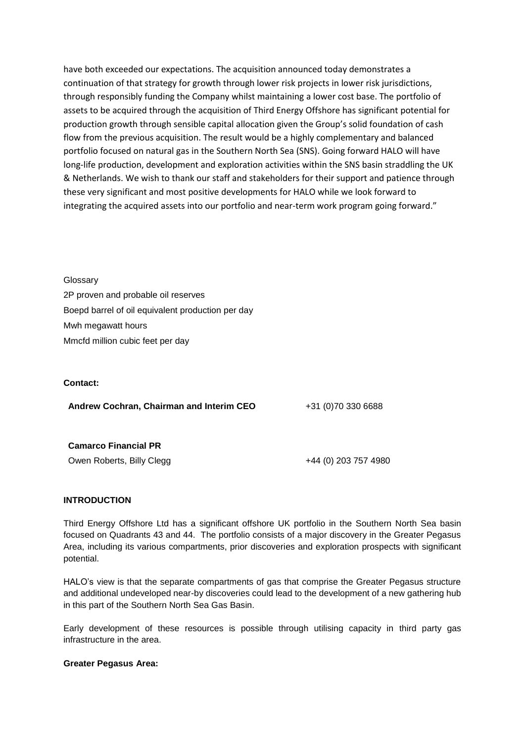have both exceeded our expectations. The acquisition announced today demonstrates a continuation of that strategy for growth through lower risk projects in lower risk jurisdictions, through responsibly funding the Company whilst maintaining a lower cost base. The portfolio of assets to be acquired through the acquisition of Third Energy Offshore has significant potential for production growth through sensible capital allocation given the Group's solid foundation of cash flow from the previous acquisition. The result would be a highly complementary and balanced portfolio focused on natural gas in the Southern North Sea (SNS). Going forward HALO will have long-life production, development and exploration activities within the SNS basin straddling the UK & Netherlands. We wish to thank our staff and stakeholders for their support and patience through these very significant and most positive developments for HALO while we look forward to integrating the acquired assets into our portfolio and near-term work program going forward."

**Glossarv** 2P proven and probable oil reserves Boepd barrel of oil equivalent production per day Mwh megawatt hours Mmcfd million cubic feet per day

### **Contact:**

Andrew Cochran, Chairman and Interim CEO +31 (0)70 330 6688

# **Camarco Financial PR**

Owen Roberts, Billy Clegg **1988** 6 444 (0) 203 757 4980

### **INTRODUCTION**

Third Energy Offshore Ltd has a significant offshore UK portfolio in the Southern North Sea basin focused on Quadrants 43 and 44. The portfolio consists of a major discovery in the Greater Pegasus Area, including its various compartments, prior discoveries and exploration prospects with significant potential.

HALO's view is that the separate compartments of gas that comprise the Greater Pegasus structure and additional undeveloped near-by discoveries could lead to the development of a new gathering hub in this part of the Southern North Sea Gas Basin.

Early development of these resources is possible through utilising capacity in third party gas infrastructure in the area.

### **Greater Pegasus Area:**